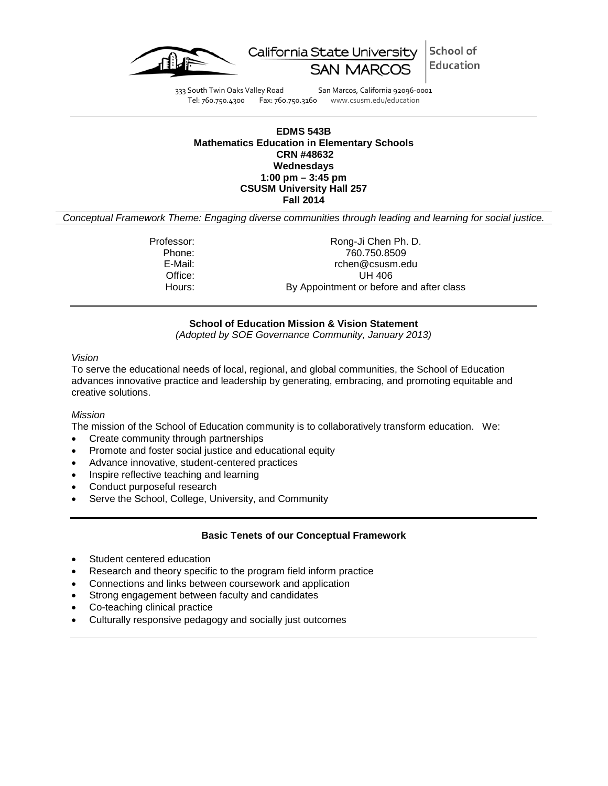



333 South Twin Oaks Valley Road San Marcos, California 92096-0001 Tel: 760.750.4300 Fax: 760.750.3160 www.csusm.edu/education

### **EDMS 543B Mathematics Education in Elementary Schools CRN #48632 Wednesdays 1:00 pm – 3:45 pm CSUSM University Hall 257 Fall 2014**

*Conceptual Framework Theme: Engaging diverse communities through leading and learning for social justice.*

Professor: Rong-Ji Chen Ph. D.<br>Phone: 760.750.8509 Phone: 760.750.8509 E-Mail: rchen@csusm.edu Office: UH 406<br>
Hours: By Appointment or before By Appointment or before and after class

## **School of Education Mission & Vision Statement**

*(Adopted by SOE Governance Community, January 2013)*

#### *Vision*

To serve the educational needs of local, regional, and global communities, the School of Education advances innovative practice and leadership by generating, embracing, and promoting equitable and creative solutions.

#### *Mission*

The mission of the School of Education community is to collaboratively transform education. We:

- Create community through partnerships
- Promote and foster social justice and educational equity
- Advance innovative, student-centered practices
- Inspire reflective teaching and learning
- Conduct purposeful research
- Serve the School, College, University, and Community

#### **Basic Tenets of our Conceptual Framework**

- Student centered education
- Research and theory specific to the program field inform practice
- Connections and links between coursework and application
- Strong engagement between faculty and candidates
- Co-teaching clinical practice
- Culturally responsive pedagogy and socially just outcomes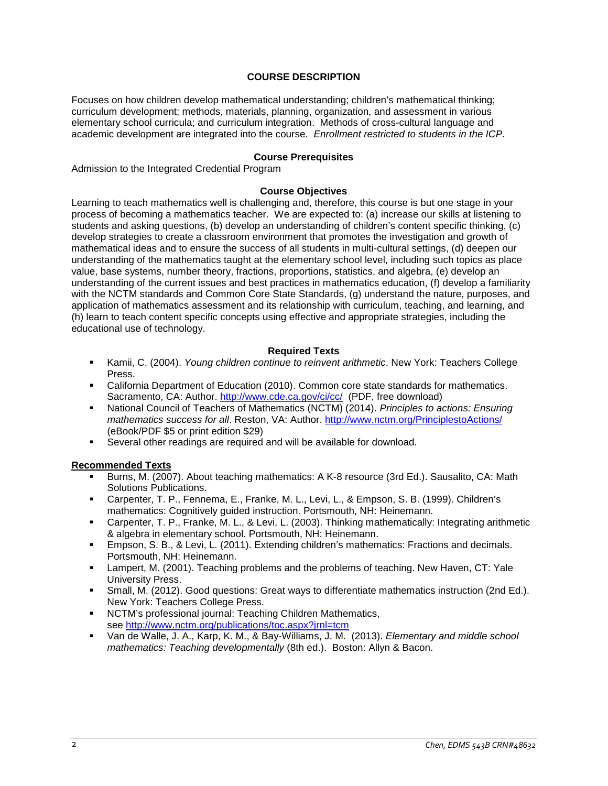## **COURSE DESCRIPTION**

Focuses on how children develop mathematical understanding; children's mathematical thinking; curriculum development; methods, materials, planning, organization, and assessment in various elementary school curricula; and curriculum integration. Methods of cross-cultural language and academic development are integrated into the course. *Enrollment restricted to students in the ICP.*

### **Course Prerequisites**

Admission to the Integrated Credential Program

#### **Course Objectives**

Learning to teach mathematics well is challenging and, therefore, this course is but one stage in your process of becoming a mathematics teacher. We are expected to: (a) increase our skills at listening to students and asking questions, (b) develop an understanding of children's content specific thinking, (c) develop strategies to create a classroom environment that promotes the investigation and growth of mathematical ideas and to ensure the success of all students in multi-cultural settings, (d) deepen our understanding of the mathematics taught at the elementary school level, including such topics as place value, base systems, number theory, fractions, proportions, statistics, and algebra, (e) develop an understanding of the current issues and best practices in mathematics education, (f) develop a familiarity with the NCTM standards and Common Core State Standards, (g) understand the nature, purposes, and application of mathematics assessment and its relationship with curriculum, teaching, and learning, and (h) learn to teach content specific concepts using effective and appropriate strategies, including the educational use of technology.

### **Required Texts**

- Kamii, C. (2004). *Young children continue to reinvent arithmetic*. New York: Teachers College Press.
- California Department of Education (2010). Common core state standards for mathematics. Sacramento, CA: Author.<http://www.cde.ca.gov/ci/cc/>(PDF, free download)
- National Council of Teachers of Mathematics (NCTM) (2014). *Principles to actions: Ensuring mathematics success for all*. Reston, VA: Author.<http://www.nctm.org/PrinciplestoActions/> (eBook/PDF \$5 or print edition \$29)
- Several other readings are required and will be available for download.

## **Recommended Texts**

- Burns, M. (2007). About teaching mathematics: A K-8 resource (3rd Ed.). Sausalito, CA: Math Solutions Publications.
- Carpenter, T. P., Fennema, E., Franke, M. L., Levi, L., & Empson, S. B. (1999). Children's mathematics: Cognitively guided instruction. Portsmouth, NH: Heinemann.
- Carpenter, T. P., Franke, M. L., & Levi, L. (2003). Thinking mathematically: Integrating arithmetic & algebra in elementary school. Portsmouth, NH: Heinemann.
- Empson, S. B., & Levi, L. (2011). Extending children's mathematics: Fractions and decimals. Portsmouth, NH: Heinemann.
- **EXECT** Lampert, M. (2001). Teaching problems and the problems of teaching. New Haven, CT: Yale University Press.
- Small, M. (2012). Good questions: Great ways to differentiate mathematics instruction (2nd Ed.). New York: Teachers College Press.
- NCTM's professional journal: Teaching Children Mathematics, see<http://www.nctm.org/publications/toc.aspx?jrnl=tcm>
- Van de Walle, J. A., Karp, K. M., & Bay-Williams, J. M. (2013). *Elementary and middle school mathematics: Teaching developmentally* (8th ed.). Boston: Allyn & Bacon.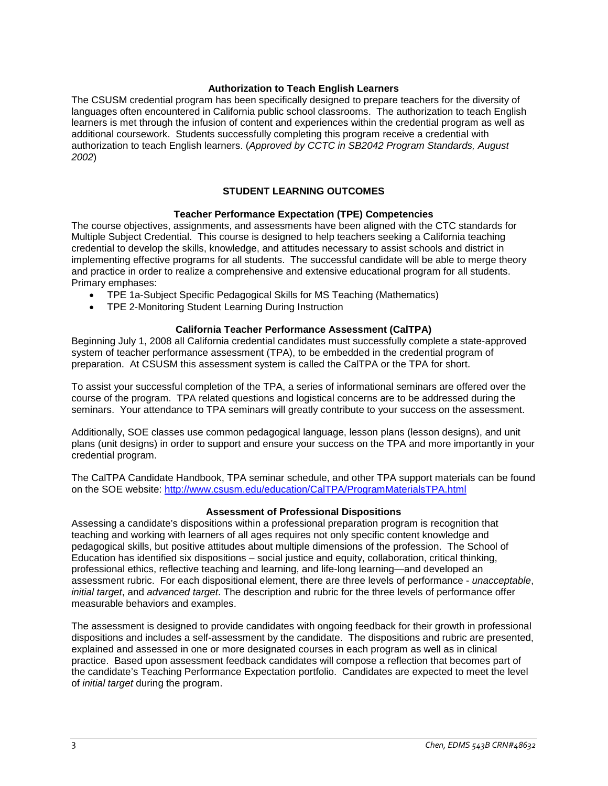### **Authorization to Teach English Learners**

The CSUSM credential program has been specifically designed to prepare teachers for the diversity of languages often encountered in California public school classrooms. The authorization to teach English learners is met through the infusion of content and experiences within the credential program as well as additional coursework. Students successfully completing this program receive a credential with authorization to teach English learners. (*Approved by CCTC in SB2042 Program Standards, August 2002*)

## **STUDENT LEARNING OUTCOMES**

### **Teacher Performance Expectation (TPE) Competencies**

The course objectives, assignments, and assessments have been aligned with the CTC standards for Multiple Subject Credential. This course is designed to help teachers seeking a California teaching credential to develop the skills, knowledge, and attitudes necessary to assist schools and district in implementing effective programs for all students. The successful candidate will be able to merge theory and practice in order to realize a comprehensive and extensive educational program for all students. Primary emphases:

- TPE 1a-Subject Specific Pedagogical Skills for MS Teaching (Mathematics)
- TPE 2-Monitoring Student Learning During Instruction

### **California Teacher Performance Assessment (CalTPA)**

Beginning July 1, 2008 all California credential candidates must successfully complete a state-approved system of teacher performance assessment (TPA), to be embedded in the credential program of preparation. At CSUSM this assessment system is called the CalTPA or the TPA for short.

To assist your successful completion of the TPA, a series of informational seminars are offered over the course of the program. TPA related questions and logistical concerns are to be addressed during the seminars. Your attendance to TPA seminars will greatly contribute to your success on the assessment.

Additionally, SOE classes use common pedagogical language, lesson plans (lesson designs), and unit plans (unit designs) in order to support and ensure your success on the TPA and more importantly in your credential program.

The CalTPA Candidate Handbook, TPA seminar schedule, and other TPA support materials can be found on the SOE website:<http://www.csusm.edu/education/CalTPA/ProgramMaterialsTPA.html>

#### **Assessment of Professional Dispositions**

Assessing a candidate's dispositions within a professional preparation program is recognition that teaching and working with learners of all ages requires not only specific content knowledge and pedagogical skills, but positive attitudes about multiple dimensions of the profession. The School of Education has identified six dispositions – social justice and equity, collaboration, critical thinking, professional ethics, reflective teaching and learning, and life-long learning—and developed an assessment rubric. For each dispositional element, there are three levels of performance - *unacceptable*, *initial target*, and *advanced target*. The description and rubric for the three levels of performance offer measurable behaviors and examples.

The assessment is designed to provide candidates with ongoing feedback for their growth in professional dispositions and includes a self-assessment by the candidate. The dispositions and rubric are presented, explained and assessed in one or more designated courses in each program as well as in clinical practice. Based upon assessment feedback candidates will compose a reflection that becomes part of the candidate's Teaching Performance Expectation portfolio. Candidates are expected to meet the level of *initial target* during the program.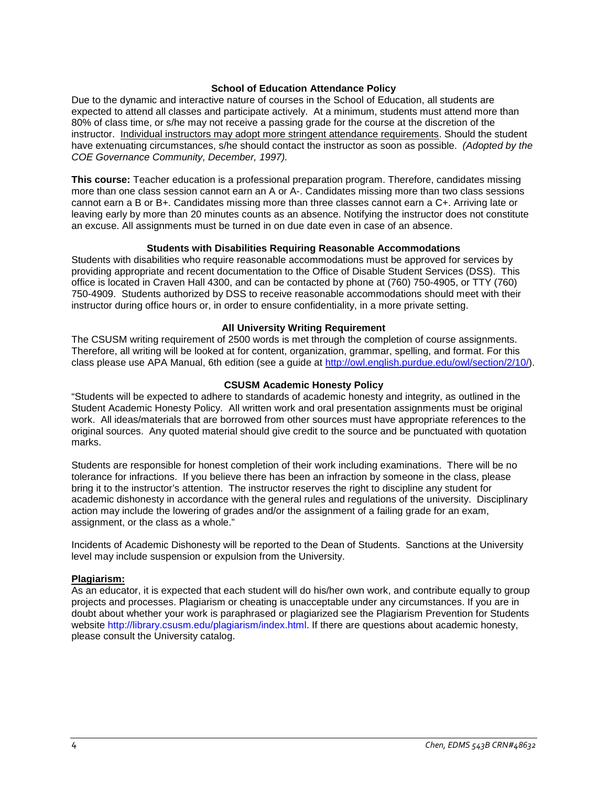#### **School of Education Attendance Policy**

Due to the dynamic and interactive nature of courses in the School of Education, all students are expected to attend all classes and participate actively. At a minimum, students must attend more than 80% of class time, or s/he may not receive a passing grade for the course at the discretion of the instructor. Individual instructors may adopt more stringent attendance requirements. Should the student have extenuating circumstances, s/he should contact the instructor as soon as possible. *(Adopted by the COE Governance Community, December, 1997).*

**This course:** Teacher education is a professional preparation program. Therefore, candidates missing more than one class session cannot earn an A or A-. Candidates missing more than two class sessions cannot earn a B or B+. Candidates missing more than three classes cannot earn a C+. Arriving late or leaving early by more than 20 minutes counts as an absence. Notifying the instructor does not constitute an excuse. All assignments must be turned in on due date even in case of an absence.

### **Students with Disabilities Requiring Reasonable Accommodations**

Students with disabilities who require reasonable accommodations must be approved for services by providing appropriate and recent documentation to the Office of Disable Student Services (DSS). This office is located in Craven Hall 4300, and can be contacted by phone at (760) 750-4905, or TTY (760) 750-4909. Students authorized by DSS to receive reasonable accommodations should meet with their instructor during office hours or, in order to ensure confidentiality, in a more private setting.

### **All University Writing Requirement**

The CSUSM writing requirement of 2500 words is met through the completion of course assignments. Therefore, all writing will be looked at for content, organization, grammar, spelling, and format. For this class please use APA Manual, 6th edition (see a guide at [http://owl.english.purdue.edu/owl/section/2/10/\)](http://owl.english.purdue.edu/owl/section/2/10/).

### **CSUSM Academic Honesty Policy**

"Students will be expected to adhere to standards of academic honesty and integrity, as outlined in the Student Academic Honesty Policy. All written work and oral presentation assignments must be original work. All ideas/materials that are borrowed from other sources must have appropriate references to the original sources. Any quoted material should give credit to the source and be punctuated with quotation marks.

Students are responsible for honest completion of their work including examinations. There will be no tolerance for infractions. If you believe there has been an infraction by someone in the class, please bring it to the instructor's attention. The instructor reserves the right to discipline any student for academic dishonesty in accordance with the general rules and regulations of the university. Disciplinary action may include the lowering of grades and/or the assignment of a failing grade for an exam, assignment, or the class as a whole."

Incidents of Academic Dishonesty will be reported to the Dean of Students. Sanctions at the University level may include suspension or expulsion from the University.

#### **Plagiarism:**

As an educator, it is expected that each student will do his/her own work, and contribute equally to group projects and processes. Plagiarism or cheating is unacceptable under any circumstances. If you are in doubt about whether your work is paraphrased or plagiarized see the Plagiarism Prevention for Students website http://library.csusm.edu/plagiarism/index.html. If there are questions about academic honesty, please consult the University catalog.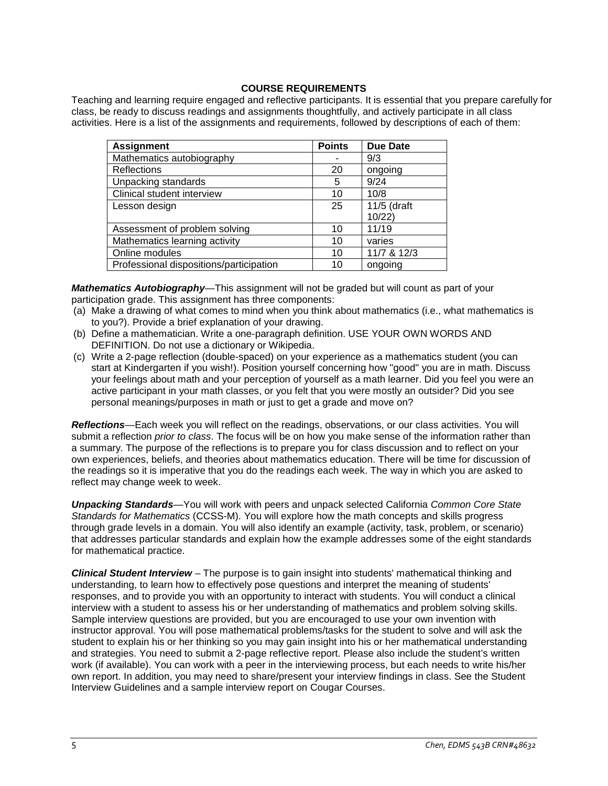## **COURSE REQUIREMENTS**

Teaching and learning require engaged and reflective participants. It is essential that you prepare carefully for class, be ready to discuss readings and assignments thoughtfully, and actively participate in all class activities. Here is a list of the assignments and requirements, followed by descriptions of each of them:

| <b>Assignment</b>                       | <b>Points</b> | Due Date    |
|-----------------------------------------|---------------|-------------|
| Mathematics autobiography               |               | 9/3         |
| <b>Reflections</b>                      | 20            | ongoing     |
| Unpacking standards                     | 5             | 9/24        |
| Clinical student interview              | 10            | 10/8        |
| Lesson design                           | 25            | 11/5 (draft |
|                                         |               | 10/22       |
| Assessment of problem solving           | 10            | 11/19       |
| Mathematics learning activity           | 10            | varies      |
| Online modules                          | 10            | 11/7 & 12/3 |
| Professional dispositions/participation | 10            | ongoing     |

*Mathematics Autobiography*—This assignment will not be graded but will count as part of your participation grade. This assignment has three components:

- (a) Make a drawing of what comes to mind when you think about mathematics (i.e., what mathematics is to you?). Provide a brief explanation of your drawing.
- (b) Define a mathematician. Write a one-paragraph definition. USE YOUR OWN WORDS AND DEFINITION. Do not use a dictionary or Wikipedia.
- (c) Write a 2-page reflection (double-spaced) on your experience as a mathematics student (you can start at Kindergarten if you wish!). Position yourself concerning how "good" you are in math. Discuss your feelings about math and your perception of yourself as a math learner. Did you feel you were an active participant in your math classes, or you felt that you were mostly an outsider? Did you see personal meanings/purposes in math or just to get a grade and move on?

*Reflections*—Each week you will reflect on the readings, observations, or our class activities. You will submit a reflection *prior to class*. The focus will be on how you make sense of the information rather than a summary. The purpose of the reflections is to prepare you for class discussion and to reflect on your own experiences, beliefs, and theories about mathematics education. There will be time for discussion of the readings so it is imperative that you do the readings each week. The way in which you are asked to reflect may change week to week.

*Unpacking Standards*—You will work with peers and unpack selected California *Common Core State Standards for Mathematics* (CCSS-M). You will explore how the math concepts and skills progress through grade levels in a domain. You will also identify an example (activity, task, problem, or scenario) that addresses particular standards and explain how the example addresses some of the eight standards for mathematical practice.

*Clinical Student Interview* – The purpose is to gain insight into students' mathematical thinking and understanding, to learn how to effectively pose questions and interpret the meaning of students' responses, and to provide you with an opportunity to interact with students. You will conduct a clinical interview with a student to assess his or her understanding of mathematics and problem solving skills. Sample interview questions are provided, but you are encouraged to use your own invention with instructor approval. You will pose mathematical problems/tasks for the student to solve and will ask the student to explain his or her thinking so you may gain insight into his or her mathematical understanding and strategies. You need to submit a 2-page reflective report. Please also include the student's written work (if available). You can work with a peer in the interviewing process, but each needs to write his/her own report. In addition, you may need to share/present your interview findings in class. See the Student Interview Guidelines and a sample interview report on Cougar Courses.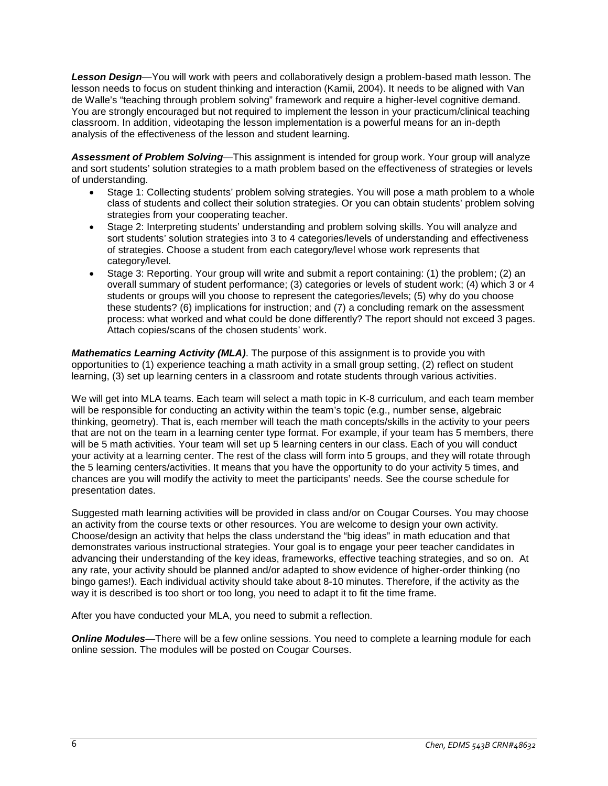*Lesson Design*—You will work with peers and collaboratively design a problem-based math lesson. The lesson needs to focus on student thinking and interaction (Kamii, 2004). It needs to be aligned with Van de Walle's "teaching through problem solving" framework and require a higher-level cognitive demand. You are strongly encouraged but not required to implement the lesson in your practicum/clinical teaching classroom. In addition, videotaping the lesson implementation is a powerful means for an in-depth analysis of the effectiveness of the lesson and student learning.

*Assessment of Problem Solving*—This assignment is intended for group work. Your group will analyze and sort students' solution strategies to a math problem based on the effectiveness of strategies or levels of understanding.

- Stage 1: Collecting students' problem solving strategies. You will pose a math problem to a whole class of students and collect their solution strategies. Or you can obtain students' problem solving strategies from your cooperating teacher.
- Stage 2: Interpreting students' understanding and problem solving skills. You will analyze and sort students' solution strategies into 3 to 4 categories/levels of understanding and effectiveness of strategies. Choose a student from each category/level whose work represents that category/level.
- Stage 3: Reporting. Your group will write and submit a report containing: (1) the problem; (2) an overall summary of student performance; (3) categories or levels of student work; (4) which 3 or 4 students or groups will you choose to represent the categories/levels; (5) why do you choose these students? (6) implications for instruction; and (7) a concluding remark on the assessment process: what worked and what could be done differently? The report should not exceed 3 pages. Attach copies/scans of the chosen students' work.

*Mathematics Learning Activity (MLA)*. The purpose of this assignment is to provide you with opportunities to (1) experience teaching a math activity in a small group setting, (2) reflect on student learning, (3) set up learning centers in a classroom and rotate students through various activities.

We will get into MLA teams. Each team will select a math topic in K-8 curriculum, and each team member will be responsible for conducting an activity within the team's topic (e.g., number sense, algebraic thinking, geometry). That is, each member will teach the math concepts/skills in the activity to your peers that are not on the team in a learning center type format. For example, if your team has 5 members, there will be 5 math activities. Your team will set up 5 learning centers in our class. Each of you will conduct your activity at a learning center. The rest of the class will form into 5 groups, and they will rotate through the 5 learning centers/activities. It means that you have the opportunity to do your activity 5 times, and chances are you will modify the activity to meet the participants' needs. See the course schedule for presentation dates.

Suggested math learning activities will be provided in class and/or on Cougar Courses. You may choose an activity from the course texts or other resources. You are welcome to design your own activity. Choose/design an activity that helps the class understand the "big ideas" in math education and that demonstrates various instructional strategies. Your goal is to engage your peer teacher candidates in advancing their understanding of the key ideas, frameworks, effective teaching strategies, and so on. At any rate, your activity should be planned and/or adapted to show evidence of higher-order thinking (no bingo games!). Each individual activity should take about 8-10 minutes. Therefore, if the activity as the way it is described is too short or too long, you need to adapt it to fit the time frame.

After you have conducted your MLA, you need to submit a reflection.

**Online Modules**—There will be a few online sessions. You need to complete a learning module for each online session. The modules will be posted on Cougar Courses.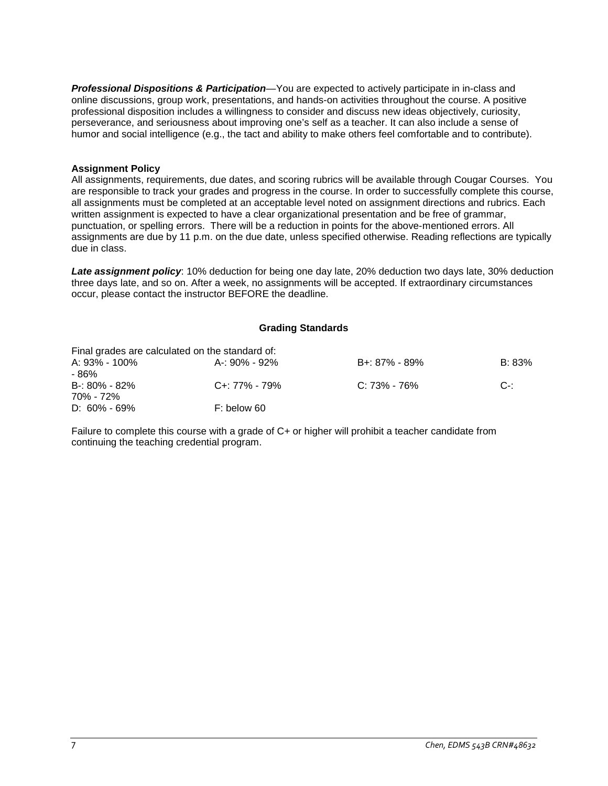*Professional Dispositions & Participation*—You are expected to actively participate in in-class and online discussions, group work, presentations, and hands-on activities throughout the course. A positive professional disposition includes a willingness to consider and discuss new ideas objectively, curiosity, perseverance, and seriousness about improving one's self as a teacher. It can also include a sense of humor and social intelligence (e.g., the tact and ability to make others feel comfortable and to contribute).

### **Assignment Policy**

All assignments, requirements, due dates, and scoring rubrics will be available through Cougar Courses. You are responsible to track your grades and progress in the course. In order to successfully complete this course, all assignments must be completed at an acceptable level noted on assignment directions and rubrics. Each written assignment is expected to have a clear organizational presentation and be free of grammar, punctuation, or spelling errors. There will be a reduction in points for the above-mentioned errors. All assignments are due by 11 p.m. on the due date, unless specified otherwise. Reading reflections are typically due in class.

*Late assignment policy*: 10% deduction for being one day late, 20% deduction two days late, 30% deduction three days late, and so on. After a week, no assignments will be accepted. If extraordinary circumstances occur, please contact the instructor BEFORE the deadline.

## **Grading Standards**

|                   | Final grades are calculated on the standard of: |                  |        |
|-------------------|-------------------------------------------------|------------------|--------|
| A: 93% - 100%     | A-: 90% - 92%                                   | B+: 87% - 89%    | B: 83% |
| - 86%             |                                                 |                  |        |
| $B - 80\% - 82\%$ | C+: 77% - 79%                                   | $C: 73\% - 76\%$ | .C-1   |
| 70% - 72%         |                                                 |                  |        |
| $D: 60\% - 69\%$  | F: below 60                                     |                  |        |

Failure to complete this course with a grade of C+ or higher will prohibit a teacher candidate from continuing the teaching credential program.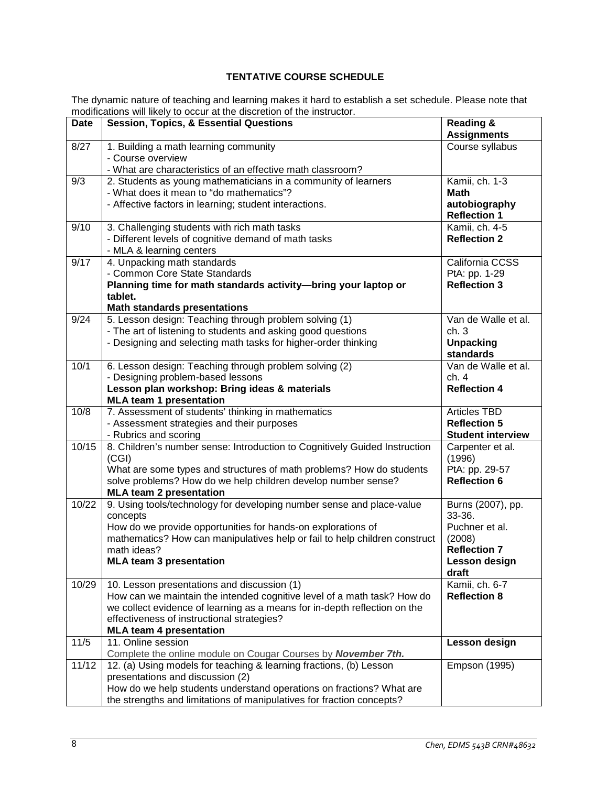# **TENTATIVE COURSE SCHEDULE**

The dynamic nature of teaching and learning makes it hard to establish a set schedule. Please note that modifications will likely to occur at the discretion of the instructor.

|             | modifications will likely to occur at the discretion of the instructor.                             |                                            |
|-------------|-----------------------------------------------------------------------------------------------------|--------------------------------------------|
| <b>Date</b> | <b>Session, Topics, &amp; Essential Questions</b>                                                   | <b>Reading &amp;</b><br><b>Assignments</b> |
| 8/27        | 1. Building a math learning community                                                               | Course syllabus                            |
|             | - Course overview                                                                                   |                                            |
|             | - What are characteristics of an effective math classroom?                                          |                                            |
| 9/3         | 2. Students as young mathematicians in a community of learners                                      | Kamii, ch. 1-3                             |
|             | - What does it mean to "do mathematics"?                                                            | <b>Math</b>                                |
|             | - Affective factors in learning; student interactions.                                              | autobiography<br><b>Reflection 1</b>       |
| 9/10        | 3. Challenging students with rich math tasks                                                        | Kamii, ch. 4-5                             |
|             | - Different levels of cognitive demand of math tasks                                                | <b>Reflection 2</b>                        |
|             | - MLA & learning centers                                                                            |                                            |
| 9/17        | 4. Unpacking math standards                                                                         | California CCSS                            |
|             | - Common Core State Standards                                                                       | PtA: pp. 1-29                              |
|             | Planning time for math standards activity-bring your laptop or                                      | <b>Reflection 3</b>                        |
|             | tablet.<br><b>Math standards presentations</b>                                                      |                                            |
| 9/24        | 5. Lesson design: Teaching through problem solving (1)                                              | Van de Walle et al.                        |
|             | - The art of listening to students and asking good questions                                        | ch.3                                       |
|             | - Designing and selecting math tasks for higher-order thinking                                      | <b>Unpacking</b>                           |
|             |                                                                                                     | standards                                  |
| 10/1        | 6. Lesson design: Teaching through problem solving (2)                                              | Van de Walle et al.                        |
|             | - Designing problem-based lessons                                                                   | ch.4                                       |
|             | Lesson plan workshop: Bring ideas & materials                                                       | <b>Reflection 4</b>                        |
|             | <b>MLA team 1 presentation</b>                                                                      |                                            |
| 10/8        | 7. Assessment of students' thinking in mathematics                                                  | <b>Articles TBD</b>                        |
|             | - Assessment strategies and their purposes                                                          | <b>Reflection 5</b>                        |
| 10/15       | - Rubrics and scoring<br>8. Children's number sense: Introduction to Cognitively Guided Instruction | <b>Student interview</b>                   |
|             | (CGI)                                                                                               | Carpenter et al.<br>(1996)                 |
|             | What are some types and structures of math problems? How do students                                | PtA: pp. 29-57                             |
|             | solve problems? How do we help children develop number sense?                                       | <b>Reflection 6</b>                        |
|             | <b>MLA team 2 presentation</b>                                                                      |                                            |
| 10/22       | 9. Using tools/technology for developing number sense and place-value                               | Burns (2007), pp.                          |
|             | concepts                                                                                            | 33-36.                                     |
|             | How do we provide opportunities for hands-on explorations of                                        | Puchner et al.                             |
|             | mathematics? How can manipulatives help or fail to help children construct                          | (2008)                                     |
|             | math ideas?                                                                                         | <b>Reflection 7</b>                        |
|             | <b>MLA team 3 presentation</b>                                                                      | Lesson design                              |
|             |                                                                                                     | draft                                      |
| 10/29       | 10. Lesson presentations and discussion (1)                                                         | Kamii, ch. 6-7                             |
|             | How can we maintain the intended cognitive level of a math task? How do                             | <b>Reflection 8</b>                        |
|             | we collect evidence of learning as a means for in-depth reflection on the                           |                                            |
|             | effectiveness of instructional strategies?<br><b>MLA team 4 presentation</b>                        |                                            |
| $11/5$      | 11. Online session                                                                                  | Lesson design                              |
|             | Complete the online module on Cougar Courses by November 7th.                                       |                                            |
| 11/12       | 12. (a) Using models for teaching & learning fractions, (b) Lesson                                  | Empson (1995)                              |
|             | presentations and discussion (2)                                                                    |                                            |
|             | How do we help students understand operations on fractions? What are                                |                                            |
|             | the strengths and limitations of manipulatives for fraction concepts?                               |                                            |